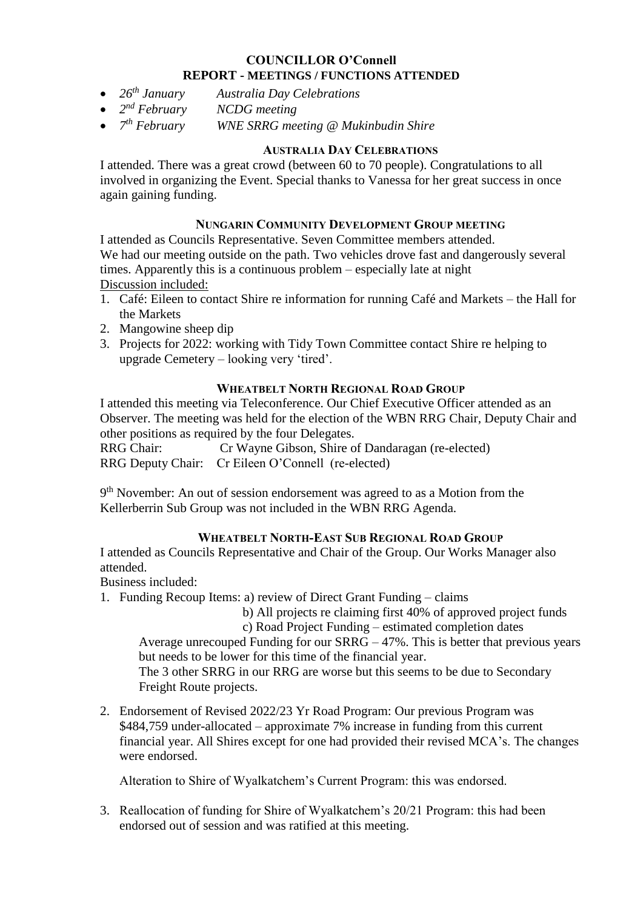#### **COUNCILLOR O'Connell REPORT - MEETINGS / FUNCTIONS ATTENDED**

- *26th January Australia Day Celebrations*
- $\bullet$  2<sup>nd</sup> February  $NCDG$  *meeting*
- $7<sup>th</sup> Februar$ *<i>WNE SRRG meeting @ Mukinbudin Shire*

## **AUSTRALIA DAY CELEBRATIONS**

I attended. There was a great crowd (between 60 to 70 people). Congratulations to all involved in organizing the Event. Special thanks to Vanessa for her great success in once again gaining funding.

## **NUNGARIN COMMUNITY DEVELOPMENT GROUP MEETING**

I attended as Councils Representative. Seven Committee members attended. We had our meeting outside on the path. Two vehicles drove fast and dangerously several times. Apparently this is a continuous problem – especially late at night Discussion included:

- 1. Café: Eileen to contact Shire re information for running Café and Markets the Hall for the Markets
- 2. Mangowine sheep dip
- 3. Projects for 2022: working with Tidy Town Committee contact Shire re helping to upgrade Cemetery – looking very 'tired'.

## **WHEATBELT NORTH REGIONAL ROAD GROUP**

I attended this meeting via Teleconference. Our Chief Executive Officer attended as an Observer. The meeting was held for the election of the WBN RRG Chair, Deputy Chair and other positions as required by the four Delegates.

RRG Chair: Cr Wayne Gibson, Shire of Dandaragan (re-elected) RRG Deputy Chair: Cr Eileen O'Connell (re-elected)

9<sup>th</sup> November: An out of session endorsement was agreed to as a Motion from the Kellerberrin Sub Group was not included in the WBN RRG Agenda.

#### **WHEATBELT NORTH-EAST SUB REGIONAL ROAD GROUP**

I attended as Councils Representative and Chair of the Group. Our Works Manager also attended.

Business included:

1. Funding Recoup Items: a) review of Direct Grant Funding – claims

b) All projects re claiming first 40% of approved project funds

c) Road Project Funding – estimated completion dates

Average unrecouped Funding for our SRRG – 47%. This is better that previous years but needs to be lower for this time of the financial year.

The 3 other SRRG in our RRG are worse but this seems to be due to Secondary Freight Route projects.

2. Endorsement of Revised 2022/23 Yr Road Program: Our previous Program was \$484,759 under-allocated – approximate 7% increase in funding from this current financial year. All Shires except for one had provided their revised MCA's. The changes were endorsed.

Alteration to Shire of Wyalkatchem's Current Program: this was endorsed.

3. Reallocation of funding for Shire of Wyalkatchem's 20/21 Program: this had been endorsed out of session and was ratified at this meeting.